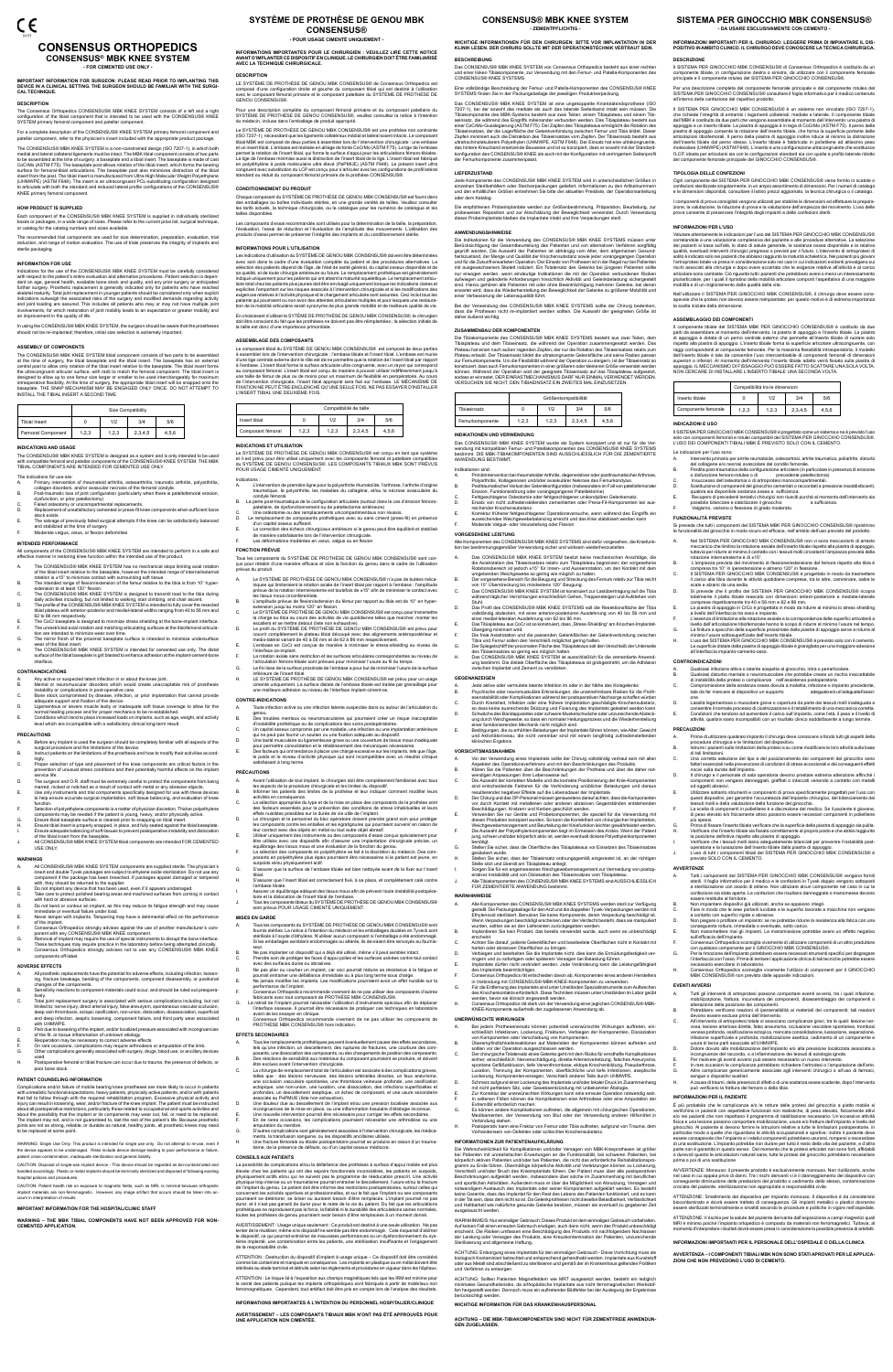# CE **CONSENSUS ORTHOPEDICS CONSENSUS® MBK KNEE SYSTEM**

**- FOR CEMENTED USE ONLY -**

**IMPORTANT INFORMATION FOR SURGEON: PLEASE READ PRIOR TO IMPLANTING THIS DEVICE IN A CLINICAL SETTING. THE SURGEON SHOULD BE FAMILIAR WITH THE SURGI-CAL TECHNIQUE.**

#### **DESCRIPTION**

The Consensus Orthopedics CONSENSUS® MBK KNEE SYSTEM consists of a left and a right<br>configuration of the tibial component that is intended to be used with the CONSENSUS® KNEE<br>SYSTEM primary femoral component and patellar c

For a complete description of the CONSENSUS® KNEE SYSTEM primary femoral component and patellar component, refer to the physician's insert included with the appropriate product package.

The CONSENSUS® MBK KNEE SYSTEM is a non-constrained design (ISO 7207-1), in which both medial and lateral collateral ligaments must be intact. The MBK tibial component consists of two parts<br>to be assembled at the time of surgery: a baseplate and a tibial insert. The baseplate is made of cast<br>CoCrMo (ASTM F75 surface for femoral-tibial articulations. The baseplate post also minimizes distraction of the tibial insert from the post. The tibial insert is manufactured from Ultra-High Molecular Weight Polyethy (UHMWPE) (ASTM F648). The insert is an ultracongruent PCL-substituting configuration designed to articulate with both the standard and reduced lateral profile configurations of the CONSENSUS® KNEE primary femoral component.

**INFORMATION FOR USE**<br>Indications for the use of the CONSENSUS® MBK KNEE SYSTEM must be carefully considered<br>with respect to the patient's entire evaluation and alternative procedures. Patient selection is depen-<br>dent on a an improvement in the quality of life.

In using the CONSENSUS® MBK KNEE SYSTEM, the surgeon should be aware that the prostheses should not be re-implanted; therefore, initial size selection is extremely important

#### **HOW PRODUCT IS SUPPLIED**

Each component of the CONSENSUS® MBK KNEE SYSTEM is supplied in individually sterilized boxes or packages, in a wide range of sizes. Please refer to the current price list, surgical technique, or catalog for the catalog numbers and sizes available.

The CONSENSUS® MBK KNEE SYSTEM this<br>later the there of surgery, the tibial sceptible and the tibial insert. The baseplate has an external<br>central post to allow only rotation of the tibial insert relative to the baseplate. INSTALL THE TIBIAL INSERT A SECOND TIME.

The recommended trial components are used for size determination, preparation, evaluation, trial reduction, and range of motion evaluation. The use of trials preserves the integrity of implants and sterile packaging.

#### **ASSEMBLY OF COMPONENTS**

- The CONSENSUS® MBK KNEE SYSTEM has no mechanical stops limiting axial rotati
- of the tibial insert relative to the basepiate, however the intended range of internal/external<br>rotation is ±15° to minimize contact with surrounding soft tissue.<br>B. The intended range of flexion/extension of the femur rel
- daily activities including, but not limited to walking, stair climbing, and chair ascent. D. The profile of the CONSENSUS® MBK KNEE SYSTEM is intended to fully cover the resected tibial plateau with anterior-posterior and medial-lateral widths ranging from 40 to 56 mm and 62 to 86 mm respectively.
- oz to do mini respectively.<br>The CoCr baseplate is designed to minimize stress shielding at the bone-implant interface F. The unrestricted axial rotation and matching articulating surfaces at the tibiofemoral articula-tion are intended to minimize wear over time.
- G. The mirror finish of the proximal baseplate surface is intended to minimize undersurface wear of the tibial insert.
- wear of the tibial insert.<br>The CONSENSUS® MBK KNEE SYSTEM is intended for cemented use only. The distal urface of the tibial baseplate is grit blasted to enhance adhesion at the implant-c interface.

|                   | Size Compatibility |       |         |       |  |
|-------------------|--------------------|-------|---------|-------|--|
| Tibial Insert     |                    | 1/2   | 3/4     | 5/6   |  |
| Femoral Component | 1,2,3              | 1,2,3 | 2,3,4,5 | 4.5.6 |  |

### **INDICATIONS AND USAGE**

The CONSENSUS® MBK KNEE SYSTEM is designed as a system and is only intended to be used with compatible femoral and patellar components of the CONSENSUS® KNEE SYSTEM. THE MBK TIBIAL COMPONENTS ARE INTENDED FOR CEMENTED USE ONLY.

- The indications for use are: A. Primary intervention of rheumatoid arthritis, osteoarthritis, traumatic arthritis, polyarthritis, collagen disorders, and/or avascular necrosis of the femoral condyle. B. Post-traumatic loss of joint configuration (particularly when there is patellofemoral erosion,
- 
- dysfunction, or prior patellectomy) C. Failed osteotomy or unicompartmental replacements. C. Failed osteotomy or unicompartmental replacements.<br>D. Replacement of unsatisfactory cemented or press-fit knee components when sufficient bone
- stock exists.
- E. The salvage of previously failed surgical attempts if the knee can be satisfactorily balanced and stabilized at the time of surgery
- 
- F. Moderate valgus, varus, or flexion deformities

# **INTENDED PERFORMANCE**

- A. All CONSENSUS® MBK KNEE SYSTEM components are supplied sterile. The physician's<br>insert and double Tyvek packages are subject to ethylene oxide sterilization. Do not use any<br>component if the package has been breached. If
- 
- with, they should be returned to the supplier.<br>B. Do not implant any device that has been used, even if it appears undamaged.<br>C. Take care to protect polished bearing areas and machined surfaces from coming i
- 
- with hard or abrasive surfaces.<br>D. Do not bend or contour an implant, as this may reduce its fatigue strength and may cause<br> immediate or eventual failure under load.<br>E. Never tamper with implants. Tamperin
- of the implant.
- F. Consensus Orthopedics strongly advises against the use of another manufacturer's com-
- ponent with any CONSENSUS® MBK KNEE component.<br>G. Removal of implant may require the use of special instruments to disrupt the bone interface.<br>These techniques may require practice in the laboratory before being attempted
- components off-label.

All components of the CONSENSUS® MBK KNEE SYSTEM are intended to perform in a safe and effective manner in restoring knee function within the intended use of the product.

- All prosthetic replacements have the potential for adverse effects, including infection, loosening, fracture breakage, bending of the components, component disassembly, or positional
- changes of the components. B. Sensitivity reactions to component materials could occur, and should be ruled out preopera-
- tively. C. Total joint replacement surgery is associated with serious complications including, but not limited to: nerve injury, direct arterial injury, false aneurysm, spontaneous vascular occlusion,<br>deep vein thrombosis, ectopic ossification, non-union, dislocation, disassociation, superficial<br>and deep infection, aseptic with UHMWPE. D. Pain due to loosening of the implant, and/or localized pressure associated with incongruencies
- 
- 
- of the fit, or tissue inflammation of unknown etiology.<br>E. Reoperation may be necessary to correct adverse effects.<br>F. On rare occasions, complications may require arthrodesis or amputation of the limb.<br>G. Other complicati
- H. Postoperative femoral or tibial fracture can occur due to trauma, the presence of defects, or

WARNING: Single Use Only: This product is intended for single use only. Do not attempt to re-use, even if the device appears to be undamaged. Risks include device damage leading to poor performance or failure ation, inadequate sterilization and general liability.

#### **CONTRAINDICATIONS**

- Any active or suspected latent infection in or about the knee joint.
- B. Mental or neuromuscular disorders which would create unacceptable risk of prosthesis instability or complications in post-operative care.
- C. Bone stock compromised by disease, infection, or prior implantation that cannot provide adequate support and fixation of the device.
	-
- D. Ligamentous or severe muscle laxity or inadequate soft tissue coverage to allow for the<br>- normal healing process and for proper mechanics to be re-established.<br>E. Conditions which tend to place increased loads on implan level which are incompatible with a satisfactory clinical long-term result

Le SYSTÈME DE PROTHÈSE DE GENOU MBK CONSENSUS® est une prothèse non contrainte (ISO 7207-1), nécessitant que les ligaments collatéraux médial et latéral soient intacts. Le composant tibial MBK est composé de deux parties à assembler lors de l'intervention chirurgicale : une embase et un insert tibial. L'embase est réalisée en alliage de fonte CoCrMo (ASTM F75). La tige de l'embase<br>permet la rotation de l'insert tibial, qui forme la surface d'apoui pour les articulations fémoro-tibiales.<br>La tige de l

# **PRECAUTIONS**

Chaque composant du SYSTEME DE PROTHESE DE GENOU MBK CONSENSUS® est fourni dans<br>des emballages ou boîtes individuels stériles, en une grande variété de tailles. Veuillez consulter<br>les tarifs actuels, la technique chirurgi tailles disponibles.

Les composants d'essai recommandés sont utilisés pour la détermination de la taille, la préparation,<br>l'évaluation, l'essai de réduction et l'évaluation de l'amplitude des mouvements. L'utilisation des<br>produits d'essai perm

Les indications d'utilisation du SYSTÈME DE GENOU MBK CONSENSUS® doivent être déterminées avec soin dans le cadre d'une évaluation complète du patient et des procédures alternatives. La sélection des patients dépend de l'âge, de l'état de santé général, du capital osseux disponible et de sa qualité, et de toute chirurgie antérieure ou future. Le remplacement prothétique est généralement indiqué uniquement pour les patients qui ont atteint la maturité squelettique. Le remplacement articulaire total chez les patients plus jeunes doit être envisagé uniquement lorsque les indications claires et exp<br>explicites l'emportent sur les risques associés à l'intervention chirurgicale et si les modifications des<br>exige

- A. Before any implant is used the surgeon should be completely familiar with all aspects of the surgical procedure and the limitations of the device.
- B. Instruct patients on the limitations of the prosthesis and how to modify their activities accord-
- ingly. C. Proper selection of type and placement of the knee components are critical factors in the prevention of unusual stress conditions and their potentially harmful effects on the implant service life.
- D. The surgeon and O.R. staff must be extremely careful to protect the components from being
- marred, nicked or notched as a result of contact with metal or any abrasive objects.<br>E. Use only instruments and trial components specifically designed for use with these devices<br>to help ensure accurate surgical im
- 
- function.<br>
E. Selection of polyethylene components is a matter of physician discretion. Thicker polyethylene<br>
components may be needed if the patient is young, heavy, and/or physically active.<br>
G.<br>
G. Ensure tibial basepla J. All CONSENSUS® MBK KNEE SYSTEM tibial components are intended FOR CEMENTED USE ONLY.

En choisissant d'utiliser le SYTEME DE PROTHESE DE GENOU MBK CONSENSUS®, le chirurgien<br>doit être conscient du fait que les prothèses ne doivent pas être réimplantées ; la sélection initiale de la taille est donc d'une importance primordiale.

**ASSEMBLAGE DES COMPOSANTS<br>Le composant tibial du SYSTÈME DE GENOU MBK CONSENSUS® est composé de deux parties<br>à assembler lors de l'intervention chirurqicale : l'embase tibiale et l'insert tibial l'ambase est munica** Le composant tibial du SYSTEME DE GENOU MBK CONSENSUS® est composé de deux parties<br>à assembler lors de l'intervention chirurgicale ; l'embase tibiale et l'insert tibial. L'embase est munie<br>d'une tige centrale externe dont de l'intervention chirurgicale, l'insert tibial approprié sera fixé sur l'embase. LE MÉCANISME DE FIXATION NE PEUT ÊTRE ENCLENCHÉ QU'UNE SEULE FOIS. NE PAS ESSAYER D'INSTALLER L'INSERT TIBIAL UNE DEUXIÈME FOIS.

Tous les composants du SYSTÈME DE PROTHÈSE DE GENOU MBK CONSENSUS® sont conlir d'une manière efficace et sûre la fonction du genou dans le cadre de l'utilisation

# **ADVERSE EFFECTS**

- A. Toute infection active ou une infection latente suspectée dans ou autour de l'articulation du genou. B. Des troubles mentaux ou neuromusculaires qui pourraient créer un risque inacceptable
- 
- d'instabilité profitétique ou de complications des soins postopératoires.<br>C. Un capital osseux compromis par une maladie, une infection ou une implantation antérieure<br>qui ne peut pas fournir un soutien ou une fixation adéq
	-
- 

#### poor bone stock. **PATIENT COUNSELING INFORMATION**

Complications and/or failure of mobile bearing knee prostheses are more likely to occur in patients<br>with unrealistic functional expectations, heavy patients, physically active patients, and/or with patients<br>that fail to fo about all postoperative restrictions, particularly those related to occupational and sports activities and<br>about the possibility that the implant or its components may wear out, fail, or need to be replaced.<br>The implant ma

- A.<br>
A lead is appected to prove the limit of the completement familiarisé avec tous<br>
les aspects de la procédure chirurgicale et les limites du dispositif.<br>
B.<br>
Informer les patients des limites de la prothèse et leur indi
- 
- 
- D. Le chirurgien et le personnel du bloc opératoire doivent prendre grand soin pour protéger<br>les composants contre les entailles et les égratignures qui pourraient survenir en raison de<br>leur contact avec des objets en méta
- être utilisés avec ces dispositifs afin d'assurer une implantation chirurgicale précise, un équilibrage des tissus mous et une évaluation de la fonction du genou. F. La sélection des composants en polyéthylène se fait à la discrétion du médecin. Des com-
- 

posants en polyéthylène plus épais pourraient être néce: surpoids et/ou physiquement actif. G. S'assurer que la surface de l'embase tibiale est bien nettoyée avant de la fixer sur l'insert

- Tous les composants du SYSTÈME DE PROTHÈSE DE GENOU MBK CONSENSUS® sont fournis stériles. La notice à l'intention du médecin et les emballages doubles en Tyveck sont stérilisés à l'oxyde d'éthylène. N'utiliser aucun composant si l'emballage a été endommagé. Si les emballages semblent endommagés ou altérés, ils devraient être renvoyés au four
- seur. B. Ne pas implanter un dispositif qui a déjà été utilisé, même s'il peut sembler intact.
- Prendre soin de protéger les faces d'appui polies et les surfaces usinées contre tout contact avec des surfaces dures ou abrasives. D. Ne pas plier ou courber un implant, car ceci pourrait réduire sa résistance à la fatigue et
- pourrait entrainer une défaillance immédiate ou à plus long terme sous charge. E. Ne jamais modifier les implants. Les modifications pourraient avoir un effet nuisible sur la
- 
- 
- performance de l'implant.<br>
F. Consensus Orthopedics recommande vivement de ne pas utiliser des composants d'autres<br>
fabricants avec tout composant de PROTHÈSE MBK CONSENSUS®.<br>
G. Le retrait de l'implant pourrait nécessiter
- H. Consensus Orthopedics recommande vivement de ne pas utiliser les composants de PROTHÈSE MBK CONSENSUS® hors indication.

CAUTION: Disposal of single-use implant device - This device should be regarded as bio-contaminated and dingly. Plastic or metal implants should be terminally sterilized and disposed of following existing hospital policies and procedures.

CAUTION: Patient health risk on exposure to magnetic fields, such as MRI, is minimal because orthopedic implant materials are non-ferromagnetic. However, any image artifact that occurs should be taken into account in interpretation of results

## **IMPORTANT INFORMATION FOR THE HOSPITAL/CLINIC STAFF**

**WARNING – THE MBK TIBIAL COMPONENTS HAVE NOT BEEN APPROVED FOR NON-CEMENTED APPLICATION.**

# **SYSTÈME DE PROTHÈSE DE GENOU MBK CONSENSUS®**

**- POUR USAGE CIMENTÉ UNIQUEMENT -**

INFORMATIONS IMPORTANTES POUR LE CHIRURGIEN : VEUILLEZ LIRE CETTE NOTICE<br>AVANT D'IMPLANTER CE DISPOSITIF EN CLINIQUE. LE CHIRURGIEN DOIT ÊTRE FAMILIARISÉ<br>AVEC LA TECHNIQUE CHIRURGICALE.

DESCRIPTION<br>LE SYSTÈME DE PROTHÈSE DE GENOU MBK CONSENSUS® de Consensus Orthopedics est<br>composé d'une configuration droite et gauche du composant tibial qui est destiné à l'utilisation<br>avec le composant férroral primaire e

Pour une description complète du composant fémoral primaire et du composant patellaire du SYSTÈME DE PROTHÈSE DE GENOU CONSENSUS®, veuillez consultez la notice à l'intention du médecin, incluse dans l'emballage de produit approprié.

# **CONDITIONNEMENT DU PRODUIT**

Jede Komponente des CONSENSUS® MBK KNEE SYSTEM wird in unterschiedlichen Größen in einzelnen Sterilbehältern oder Sterilverpackungen geliefert. Informationen zu den Artikelnummern<br>und den erhältlichen Größen entnehmen Sie bitte der aktuellen Preisliste, der Operationsanleitung

Die empfohlenen Probeimplantate werden zur Größenbestimmung, Präparation, Beurteilung, zur<br>probeweisen Reposition und zur Abschätzung der Beweglichkeit verwendet. Durch Verwendung<br>dieser Probeimplantate bleiben die Implant

#### **INFORMATIONS POUR L'UTILISATION**

Alle Komponenten des CONSENSUS® MBK KNEE SYSTEMS sind dafür vorgesehen, die Kniefunktion bei bestimmungsgemäßer Verwendung sicher und wirksam wiederherzustelle

die Axialrotation des Tibiaeinsatzes relativ zum Tibiaplateau begrenzen; der vorgesehene<br>Rotationsbereich ist jedoch ±15° für Innen- und Aussenrotation, um den Kontakt mit dem<br>ungebenden Weichgewebe so gering wie möglich z Während täglicher Verrichtungen einschließlich Gehen, Treppensteigen und Aufstehen Stann.<br>Das Profil des CONSENSUS® MBK KNEE SYSTEMS soll die Resektionsfläche der Tibia D. Das Profil des CONSENSUS® MBK KNEE SYSTEMS soll die Resektionsfläche der Tibia<br>vollständig abdecken, mit einer anterior-posterioren Ausdehnung von 40 bis 56 mm und<br>einer medial-lateralen Ausdehnung von 62 bis 86 mm.<br>E.



# **INDICATIONS ET UTILISATION**

Le SYSTÈME DE PROTHÈSE DE GENOU MBK CONSENSUS® est conçu en tant que système et il est prévu pour être utilisé uniquement avec les composants fémoral et patellaire compatibles du SYSTÈME DE GENOU CONSENSUS®. LES COMPOSANTS TIBIAUX MBK SONT PRÉVUS POUR USAGE CIMENTÉ UNIQUEMENT.

- Indications : A. L'intervention de première ligne pour la polyarthrite rhumatoïde, l'arthrose, l'arthrite d'origine traumatique, la polyarthrite, les maladies du collagène, et/ou la nécrose avasculaire du
- condyle fémoral. B. La perte post-traumatique de la configuration articulaire (surtout dans le cas d'érosion fémoro-
- patellaire, de dysfonctionnement ou de patellectomie antérieure) C. Une ostéotomie ou des remplacements unicompartimentaux non réussis.
- C. Une ostéotomie ou des remplacements unicompartimentaux non réussis.<br>D. Le remplacement de composants prothétiques avec ou sans ciment (press-fit) en présence
- d'un capital osseux suffisant. E. La correction des échecs chirurgicaux antérieurs si le genou peut être équilibré et stabilisé de manière satisfaisante lors de l'intervention chirurgicale. F. Les déformations modérées en varus, valgus ou en flexion
- 
- **FONCTION PRÉVUE**

G. Stellen Sie sicher, dass die Oberfläche des Tibiaplateaus vor Einsetzen des Tibiaeinsatzes .<br>Stellen Sie sicher, dass der Tibiaeinsatz ordnungsgemäß eingerastet ist, an der richtigen<br>Stelle sitzt und überall am Tibiaplateau anliegt.

- prévue du produit. A. Le SYSTÈME DE PROTHÈSE DE GENOU MBK CONSENSUS® n'a pas de butées méca-
- niques qui limiteraient la rotation axiale de l'insert tibial par rapport à l'embase ; l'amplitude prévue de la rotation interne/externe est toutefois de ±15° afin de minimiser le contact avec les tissus mous circonférentiels. B. L'amplitude prévue de flexion/extension du fémur par rapport au tibia est de 10° en hyper-
- extension jusqu'au moins 120° en flexion. C. Le SYSTÈME DE PROTHÈSE DE GENOU MBK CONSENSUS® est conçu pour transmettre
- la charge au tibia au cours des activités de vie quotidienne telles que marcher, monter les<br>escaliers et se mettre debout (liste non exhaustive).<br>D. Le profil du SYSTÈME DE PROTHÈSE DE GENOU MBK CONSENSUS® est prévu pour<br>c
- 
- 
- l'articulation fémoro-tibiale sont prévues pour minimiser l'usure au fil du temps.<br>Le fini lisse de la surface proximale de l'embase a pour but de minimiser l'usure de la surface G. Le fini lisse de la surface proximale de l'embase a pour but de min
- inférieure de l'insert tibial. H. LE SYSTÈME DE PROTHÈSE DE GENOU MBK CONSENSUS® est prévu pour un usage nté uniquement. La surface distale de l'embase tibiale est traitée par grenaillage pou une meilleure adhésion au niveau de l'interface implant-ciment-os.

- Alle Komponenten des CONSENSUS® MBK KNEE SYSTEMS werden sterl zur Verfügung<br>gestellt. Die Packungsbeilage für den Arzt und die doppelten Tyvek-Verpackungen werden mit<br>Ethylenoxid sterilisiert. Benutzen Sie keine Komponente
- 
- Eischein.<br>C. Achten Sie darauf, polierte Gelenkflächen und bearbeitete Oberflächen nicht in Kontakt mit<br>harten oder abrasiven Oberflächen zu bringen
- harten oder abrasiven Oberflächen zu bringen. D. Verbiegen und bearbeiten Sie die Implantate nicht, dies kann die Ermüdungsfestigkeit verringern und zu sofortigem oder späterem Versagen bei Belastung führen. E. Implantate dürfen nicht verändert werden. Jede Veränderung kann die Leistungsfähigkeit
- des Implantats beeinträchtigen.
- F. Consensus Orthopedics rät entschieden davon ab, Komponenten eines anderen Herstellers in Verbindung mit CONSENSUS®-MBK-KNEE-Komponenten zu verwenden.
- G. Für die Entfernung des Implantats sind unter Umständen Spezialinstrumente zum Aufbrechen des Knochenkontakts erforderlich. Diese Techniken müssen unter Umständen im Labor geübt
- werden, bevor sie klinisch angewandt werden. H. Consensus Orthopedics rät stark von der Verwendung einer jeglichen CONSENSUS®-MBK-KNEE-Komponente außerhalb der zugelassenen Anwendung ab.

### **CONTRE-INDICATIONS**

#### **PRÉCAUTIONS**

Il SISTEMA PER GINOCCHIO MBK CONSENSUS® di Consensus Orthopedics è costituito da un componente tibiale, in configurazione destra o sinistra, da utilizzare con il componente femorale principale e il componente rotuleo del SISTEMA PER GINOCCHIO CONSENSUS®. Per una descrizione completa del componente femorale principale e del componente rotuleo del<br>SISTEMA PER GINOCCHIO CONSENSUS® consultare il foglio informativo per il medico contenuto<br>all'interno della confezione del rispet

Il SISTEMA PER GINOCCHIO MBK CONSENSUS® è un sistema non vincolato (ISO 7207-1)<br>Le ciclidate integrità di entrambi i legamenti collaterali, mediale e laterale. Il componente tibiale<br>dell'MBK è costituito da due parti che v

- tibial. H. S'assurer que l'insert tibial est correctement fixé, à sa place, et complètement calé contre
- 
- l'embase tibiale. I. Assurer un équilibrage adéquat des tissus mous afin de prévenir toute instabilité postopéra-toire et la dislocation de l'insert tibial de l'embase. J. Tous les composants tibiaux du SYSTÈME DE PROTHÈSE DE GENOU MBK CONSENSUS®
- sont prévus POUR USAGE CIMENTÉ UNIQUEMENT.

# **MISES EN GARDE**

Compatibilità tra le dimensioni Inserto tibiale 0 1/2 3/4 5/6 Componente femorale 1,2,3 1,2,3 2,3,4,5 4,5,6

### **EFFETS SECONDAIRES**

- A. Tous les remplacements prothétiques peuvent éventuellement causer des effets secondaires,<br>tels qu'une infection, un descellement, des ruptures de fractures, une courbure des com-<br>posants, une dissociation des composants être exclues avant l'intervention chirurgicale.
- C. La chirurgie de remplacement total de l'articulation est associée à des complications graves, telles que : des lésions nerveuses, des lésions artérielles driectes, un faux anévrisme,<br>une occlusion vasculaire spontanée, une thrombose veineuse profonde, une ossification<br>ectopique, une no-union, une luxation, une diss
- 
- 
- amputation du membre.<br>D'autres completes du membre.<br>membre. G. D'autres complications sont généralement associées à l'intervention chirurgicale, les médica-ments, la transfusion sanguine, ou les dispositifs ancillaires utilisés.
- H. Une fracture fémorale ou tibiale postopératoire pourrait se produire en raison d'un traumae, de la présence de défauts, ou d'un capital osseux mé

livello dell'articolazione tibiofemorale hanno lo scopo di ridurre al minimo l'usura nel tempo. G. La finitura a specchio della superficie prossimale della piastra di appoggio serve a ridurre al minimo l'usura sottosuperficiale dell'inserto tibiale. H. L'uso del SISTEMA PER GINOCCHIO MBK CONSENSUS® è previsto solo con il cemento. La superficie distale della piastra di appoggio tibiale è granigliata per una maggiore ad

A. Qualsiasi infezione attiva o latente sospetta al ginocchio, intra o periarticolare.<br>B. Qualsiasi disturbo mentale o neuromuscolare che potrebbe creare un rischio inaccettabile<br>di instabilità della protesi o complicanze

one<br>D. Lassità legamentosa o muscolare grave o copertura da parte dei tessuti molli inadeguata a<br>consentire il normale processo di cicatrizzazione e il ristabilimento di una meccanica corretta.<br>E. Condizioni che tendono ad

### **CONSEILS AUX PATIENTS**

La possibilité de complications et/ou la défaillance des prothèses à surface d'appui mobile est plus<br>élevée chez les patients qui ont des espoirs fonctionnels inconsidérés. les patients en surpoids e chez les patients qui ont des espoirs fonctionnels incons physiquement actifs et/ou qui ne suivent pas le programme de rééducation prescrit. Une activité physique trop intense ou un traumatisme pourrait entrainer le descellement, l'usure et/ou la fracture de l'implant du genou. Le patient doit être informé des restrictions postopératoires, surtout celles qui concernent les activités sportives et professionnelles, et sur le fait que l'implant ou ses composants pourraient se détériorer, se briser ou auraient besoin d'être remplacés. L'implant pourrait ne pas durer, et il n'est pas garanti de durer pour le reste de la vie du patient. Du fait que les articulations<br>prothétiques ne reproduisent pas la force, la fiabilité ni la durabilité des articulations saines normales,<br>toutes l D. Il chirurgo e il personale di sala operatoria devono prestare estrema attenzione affinché i componenti non vengano danneggiati, graffiati o intaccati venendo a contatto con metal<br>od oggetti abrasivi. od oggetti abrasivi.<br>E. Utilizzare soltanto strumenti e componenti di prova specificamente progettati per l'uso con<br>questi dispositivi, per garantire l'accuratezza dell'impianto chirurgico, del bilanciamento dei<br>tessuti mo

A. Tutti i componenti del SISTEMA PER GINOCCHIO MBK CONSENSUS® vengono forniti sterili. Il foglio informativo per il medico e le confezioni in Tyvek doppio vengono sottoposti a sterilizzazione con ossido di etilene. Non utilizzare alcun componente nel caso in cui la confezione sia stata aperta. Le confezioni che risultano danneggiate o manomesse dev

AVERTISSEMENT : Usage unique seulement : Ce produit est destiné à une seule utilisation. Ne pas tenter de le réutiliser, même si le dispositif ne semble pas être endommagé. Cela risquerait d'abîmer<br>le dispositif, ce qui pourrait entraîner de mauvaises performances ou un dysfonctionnement du sys-<br>tème implanté, une de la responsabilité civile.

ATTENTION : Destruction du dispositif d'implant à usage unique – Ce dispositif doit être considéré comme bio contaminé et manipulé en conséquence. Les implants en plastique ou en métal doivent être stérilisés au stade terminal et détruits selon les règlements et procédures en vigueur dans les hôpitaux.

ATTENTION : Le risque lié à l'exposition aux champs magnétiques tels que les IRM est minime pour<br>la santé des patients puisque les implants orthopédiques sont fabriqués à partir de matériaux non<br>ferromagnétiques. Cependan

#### **INFORMATIONS IMPORTANTES À L'INTENTION DU PERSONNEL HOSPITALIER/CLINIQUE**

È più probabile che le complicanze e/o le rotture delle protesi del ginocchio a piatto mobile si verifichino in pazienti con aspettative funzionali non realistiche, di peso elevato, fisicamente attivi e/o nei pazienti che non rispettano il programma di riabilitazione necessario. Un'eccessiva attività fisica e una lesione possono comportare mobilizzazione, usura e/o frattura dell'impianto a livello del ginocchio. Al paziente si devono fornire le istruzioni relative a tutte le limitazioni postoperatorie, in particolar modo a quelle che riguardano le attività occupazionali e sportive; inoltre il paziente deve essere consapevole che l'impianto e i relativi componenti potrebbero usurarsi, rompersi o necessitare<br>di una sostituzione. L'impianto potrebbe non durare per tutto il resto della vita del paziente, e d'altra<br>parte non è ga

# **AVERTISSEMENT – LES COMPOSANTS TIBIAUX MBK N'ONT PAS ÉTÉ APPROUVÉS POUR UNE APPLICATION NON CIMENTÉE.**

### **CONSENSUS® MBK KNEE SYSTEM - ZEMENTPFLICHTIG -**

**WICHTIGE INFORMATIONEN FÜR DEN CHIRURGEN: BITTE VOR IMPLANTATION IN DER KLINIK LESEN. DER CHIRURG SOLLTE MIT DER OPERATIONSTECHNIK VERTRAUT SEIN.**

# **BESCHREIBUNG**

Das CONSENSUS® MBK KNEE SYSTEM von Consensus Orthopedics besteht aus einer rechten und einer linken Tibiakomponente, zur Verwendung mit den Femur- und Patella-Komponenten des CONSENSUS® KNEE SYSTEMS.

Eine vollständige Beschreibung der Femur- und Patella-Komponenten des CONSENSUS® KNEE SYSTEMS finden Sie in der Packungsbeilage der jeweiligen Produktverpackung. Das CONSENSUS® MBK KNEE SYSTEM ist eine ungekoppelte Knietotalendoprothese (ISO

7207-1), bei der sowohl das mediale als auch das laterale Setienband intakt sein müssen. Die ZDT-1), bei der Smötten Tibiapateau und einem Tibi-<br>Tibiakomponente des MBK-Systems besteht aus zwei Teilen: einem Tibiaplateau u

ATTENZIONE: Il rischio per la salute del paziente derivante dall'esposizione a campi magnetici quali<br>MRI è minimo poiché l'impianto ortopedico è composto da materiali non ferromagnetici. Tuttavia, al<br>momento d'interpretare **INFORMAZIONI IMPORTANTI PER IL PERSONALE DELL'OSPEDALE O DELLA CLINICA AVVERTENZA – I COMPONENTI TIBIALI MBK NON SONO STATI APROVATI PER LE APPLICA-ZIONI CHE NON PREVEDONO L'USO DI CEMENTO.**

**LIEFERZUSTAND**

oder dem Katalog.

daher äußerst wicht

**ANWENDUNGSHINWEISE**

Die Indikationen für die Verwendung des CONSENSUS® MBK KNEE SYSTEMS müssen unter

Berücksichtigung der Gesamtbeutreiliung des Paitenten und von alternativen Verfahren sorgfältigung der Gesamtbeuteiliung des Paitenten sorgfältigungsteiliszustand, der Menge und Qualität der Knochensubstanz sowie jeder vor

Bei der Verwendung des CONSENSUS® MBK KNEE SYSTEMS sollte der Chirurg bedenken, dass die Prothesen nicht re-implantiert werden sollten. Die Auswahl der geeigneten Größe ist

**ZUSAMMENBAU DER KOMPONENTEN**<br>Die Tibiakomponente des CONSENSUS® MBK KNEE SYSTEMS besteht aus zwei Teilen, dem<br>Tibiaplateau und dem Tibiaeinsatz, die während der Operation zusammengesetzt werden. Das<br>Plateau hat einen nach

Das CONSENSUS® MBK KNEE SYSTEM wurde als System konzipiert und ist nur für die Ver-<br>wendung mit kompatiblen Femur- und Patellakomponenten des CONSENSUS® KNEE SYSTEMS<br>bestimmt. DIE MBK-TIBIAKOMPONENTEN SIND AUSSCHLIESSLICH

Indikationen sind:<br>A. Primärintervention bei rheumatoider Arthritis, degenerativer oder posttraumatischer Arthrose,<br>Polyarthritis, Kollagenosen und/oder avaskulärer Nekrose des Femurkondylus.<br>B. Posttraumatischer Verlust d

Größenkompatibilität

#### **WARNINGS**

**INDIKATIONEN UND VERWENDUNG**

ANWENDUNG BESTIMMT.

reichender Knochensubstanz. E. Korrektur früherer fehlgeschlagener Operationsversuche, wenn während des Eingriffs ein ausreichendes Weichgewebebalancing erreicht und das Knie stabilisiert werden kann F. Moderate Valgus- oder Varusstellung oder Flexion

**VORGESEHENE LEISTUNG**

Übergang minimiert wird.

F. Die freie Axialrotation und die passenden Gelenkflächen der Gelenkverbindung zwischen

Tibia und Femur sollen den Verschleiß möglichst gering halten.<br>G. Der Spiegelschiff der proximalen Fläche des Tibiapiateaus soll den Verschleiß der Unterseite<br>des Tibiaeinsatzes so gering wie möglich halten.<br>H. Das CONSENS

Jede aktive oder vermutelte latente Infektion im oder in der Närle des Kniegelenks.<br>B. Psychische oder neuromuskuläre Erkrankungen, die unannehmbare Risisken für die Proth-<br>esenstabilität oder Komplikationen während der po

**GEGENANZEIGEN**

E. Bedingungen, die zu erhöhten Belastungen der Implantate führen können, wie Alter, Gewicht und Aktivitätsniveau, die nicht vereinbar sind mit einem langfristig zufriedenstellenden

klinischen Ergebnis **VORSICHTSMASSNAHMEN**

A. Vor der Verwendung eines Implantats sollte der Chirurg vollständig vertraut sein mit allen Aspekten des Operationsverfahrens und mit den Beschränkungen des Produkts. B. Klären Sie die Patienten über die Beschränkungen der Prothese und über die daher not-

vendigen Anpassungen ihrer Lebensweise auf.<br>C. Die Auswahl der korrekten Modelle und die korrekte Positionierung der Knie-Komponenten<br>sind entscheidende Faktoren für die Verhinderung undüllchere Belastiangen und daraus<br>res

Das CONSENSUS® MBK KNEE SYSTEM besitzt keine mechanischen Anschläge, die

Tibiaeinsatz 0 1/2 3/4 5/6 Femurkomponente 1,2,3 1,2,3 2,3,4,5 4,5,6

jung, schwer und/oder körperlich aktiv ist, werden eventuell dickere Polyethylenkomponenten benötigt.

- 
- Stelle sitzt und überall am Tibiaplateau anliegt.<br>1. Sorgen Sie für ein angemessenes Weichgewebernanagement zur Vermeidung von postop-<br>1. Alle Tibiakomponenten des CONSENSUS® MBK KNEE SYSTEMS sind AUSSCHLIESSLICH<br>1. Alle T

gesäubert wurde.

#### **WARNHINWEISE**

#### **UNERWÜNSCHTE WIRKUNGEN**

- A. Bei jedem Prothesenersatz können potentiell unerwünschte Wirkungen auftreten, einschließlich Infektionen, Lockerung, Frakturen, Verbiegen der Komponenten, Dissoziation von Komponenten oder Verschiebung von Komponenten.
- 
- B. Uberempfindlichkeitsreaktionen auf Materialien der Komponenten können auftreten und<br>
sollten vor der Operation ausgeschlossen werden.<br>
C. Der chirurgische Totalersatz eines Gelenks geht mit dem Risiko für emsthafte Komp
- D. Schmerz aufgrund einer Lockerung des Implantats und/oder lokaler Druck im Zusammenhang mit nicht perfektem Sitz, oder Gewebeentzündung mit unbekannter Ätiologie. E. Zur Korrektur der unerwünschten Wirkungen kann eine erneute Operation notwendig sein.
- F. Zur Korrektur der unerwünschten Wirkungen kann eine erneute Operation notwendig sein.<br>F. In seltenen Fällen können die Komplikationen eine Arthrodese oder eine Amputation der
- Extremität erforderlich machen.
- G. Es können andere Komplikationen auftreten, die allgemein mit chirurgischen Operationen, Medikamenten, der Verwendung von Blut oder der Verwendung anderer Hilfsmittel in
- Verbindung stehen. H. Postoperativ kann eine Fraktur von Femur oder Tibia auftreten, aufgrund von Trauma, dem Vorhandensein von Defekten oder schlechter Knochensubstanz.

#### **INFORMATIONEN ZUR PATIENTENAUFKLÄRUNG**

Die Wahrscheinlichkeit für Kompilkationen und/oder Versagen von MBK-Knieprothesen ist größer<br>bei Patienten mit unrealistischen Erwartungen an die Funktionalität, bei schweren Patienten, bei<br>körperlich aktiven Patienten und keine Garantie, dass das Implantat für den Rest des Lebens des Patienten funktioniert, und es kann in der Tat sein, dass dem nicht so ist. Da Gelenkprothesen nicht dieselbe Belastbarkeit, Verläs:<br>und Haltbarkeit wie natürliche gesunde Gelenke besitzen, müssen sie eventuell zu gegebe unde Gelenke besitzen, müssen sie eventuell zu gegebener Zeit sgetauscht werde

WARNHINWEIS: Nur einmaliger Gebrauch: Dieses Produktist dem einmaligen Gebrauch vorbehalten.<br>Auf keinen Fall einen erneuten Gebrauch erwägen, auch dann nicht, wenn das Produkt unbeschädigt<br>erscheint. Die Risiken umfassen e

ACHTUNG: Entsorgung eines Implantats für den einmaligen Gebrauch - Diese Vorrichtung muss als biologisch Kontaminiert betrachtet und entsprechend gehandhabt werden. Implantate aus Kunststoff oder aus Metall sind abschließend zu sterilisieren und gemäß der im Krankenhaus geltenden Politiken und Verfahren zu entsorgen.

ACHTUNG: Sollten Patienten Magnetfeldern wie MRT ausgesetzt werden, besteht ein lediglich minimales Gesundheitsrisiko, da orthopädische Implantate aus nicht ferromagnetischen Werkstof-fen hergestellt werden. Dennoch muss ein auftretender Bildfehler bei der Auslegung der Ergebnisse berücksichtigt werden.

#### **WICHTIGE INFORMATION FÜR DAS KRANKENHAUSPERSONAL**

#### **ACHTUNG – DIE MBK-TIBIAKOMPONENTEN SIND NICHT FÜR ZEMENTFREIE ANWENDUN-GEN ZUGELASSEN.**

**SISTEMA PER GINOCCHIO MBK CONSENSUS® - DA USARE ESCLUSIVAMENTE CON CEMENTO - INFORMAZIONI IMPORTANTI PER IL CHIRURGO: LEGGERE PRIMA DI IMPIANTARE IL DIS-POSITIVO IN AMBITO CLINICO. IL CHIRURGO DEVE CONOSCERE LA TECNICA CHIRURGICA.**

**DESCRIZIONE** 

**TIPOLOGIA DELLE CONFEZIONI**

Ogni componente del SISTEMA PER GINOCCHIO MBK CONSENSUS® viene fornito in scatole o confezioni sterilizzate singolarmente, in un ampio assortimento di dimensioni. Per i numeri di catalogo e le dimensioni disponibili, consultare il listino prezzi aggiornato, la tecnica chirurgica o il catalogo. I componenti di prova consigliati vengono utilizzati per stabilire le dimensioni ed effettuare la preparazione, la valutazione, la riduzione di prova e la valutazione dell'ampiezza del movimento. L'uso delle prove consente di preservare l'integrità degli impianti e delle confezioni sterili.

INFORMAZIONI PER L'USO<br>Valutare attentamente le indicazioni per l'uso del SISTEMA PER GINOCCHIO MBK CONSENSUS®<br>Correlandole a una valutazione complessiva del paziente e alle procedure atternative. La selezione<br>dei pazienti

pluriarticolare, per i quali il ripristino della mobilità articolare comporti l'aspettativa di una maggiore

mobilità e di un miglioramento della qualità della vita.

Nell'utilizzare il SISTEMA PER GINOCCHIO MBK CONSENSUS®, il chirurgo deve essere cons-apevole che le protesi non devono essere reimpiantate; per questo motivo è di estrema importanza la scelta iniziale della dimensione.

Il componente tibiale del SISTEMA MBK PER GINOCCHIO CONSENSUS® è costituito da due<br>parti da assemblare al momento dell'intervento, la piastra di appoggio e l'inserto tibiale. La piastra<br>di appoggio è dotata di un perno ce

raggi corrispondenti al componente femorale. Per la massima flessibilità intraoperatoria, il modello<br>dell'inserto tibiale è tale da consentire l'uso intercambiabile di componenti femorali di dimensioni<br>supergioi . Il MECCA

II SISTEMA PER GINOCCHIO MBK CONSENSUS® è progettato come un sistema e ne è previsto l'uso<br>solo con componenti femorali e rotulei compatibili del SISTEMA PER GINOCCHIO CONSENSUS®.<br>L'USO DEI COMPONENTI TIBIALI MBK È PREVIST Le indicazioni per l'uso sono:<br>A. lntervento primario per artrite reumatoide, osteoartrosi, artrite traumatica, poliartrite, disturbi

A letervento primario per artitte reunatoide, osteoartosi, artitte traumatica, poliartrite, disturbi del collagene e/o necrosi avascolate del condito femorale.<br>B. Perdita post-traumatica della configurazione articolare (in

**ASSEMBLAGGIO DEI COMPONENTI**

**INDICAZIONI E USO**

**FUNZIONALITÀ PREVISTE**

Si prevede che tutti i componenti del SISTEMA MBK PER GINOCCHIO CONSENSUS® ripristinino le funzionalità del ginocchio in modo sicuro ed efficace, nell'ambito dell'uso previsto del prodotto.

Mel SISTEMA PER GINOCCHIO MBK CONSENSUS® non vi sono meccanico in di arresto dell'inserto tibiale rispetto alla piastra di appoggio, tuttavia per ridurre al minimo il contatto con i tessuti molli circostanti l'ampiezza pre

totalmente il piatto tibiale resecato con dimensioni antero-posteriore e mediale-laterale<br>Comprese rispettivamente tra 40 e 56 mm e 62 e 86 mm.<br>La piastra di appoggio in CrCo è progettata in modo da ridurre al minimo lo st

**CONTROINDICAZIONI**

**PRECAUZIONI**

A. Prima di utilizzare qualsiasi impianto il chirurgo deve conoscere a fondo tutti gli aspetti della procedura chirurgica e le limitazioni del dispositivo. P. Istruire i pazienti sulle limitazioni della protesi e su come modificare le loro attività sulla base<br>di tali limitazioni. di tali limitazioni. C. Una corretta selezione del tipo e del posizionamento dei componenti del ginocchio sono fattori essenziali nella prevenzione di condizioni di stress eccezionali e dei conseguenti effetti

nocivi sulla durata dell'impianto.

più spessi. G. Prima di fissare l'inserto tibiale verificare che la superficie della piastra di appoggio sia pulita. H. Verificare che l'inserto tibiale sia fissato correttamente al proprio posto e che abbia raggiunto la posizione definitiva rispetto alla piastra di appoggio. I. Verificare che i tessuti molli siano adeguatamente bilanciati per prevenire l'instabilità postoperatoria e la lussazione dell'inserto tibiale dalla piastra di appoggio. J. L'uso di tutti i componenti tibiali del SISTEMA PER GINOCCHIO MBK CONSENSUS® è

ccia impianto-cemento-osso.

npromissione della sostanza ossea dovuta<br>da far mancare al dispositivo un supporto

previsto SOLO CON IL CEMENTO.

#### **AVVERTENZE**

- 
- essere restituite al fornitore. B. Non impiantare dispositivi già utilizzati, anche se appaiono integri. C. Fare in modo che le aree portanti lucidate e le superfici lavorate a macchina non vengano
- a contatto con superfici rigide o abrasive.<br>D. Mon piegare o profilare un impianto: se ne potrebbe ridurre la resistenza alla fatica con una<br>conseguente rottura, immediata o eventuale, sotto carico.<br>E. Mon
- 
- sull'efficacia dell'impianto. F. Consensus Orthopedics sconsiglia vivamente di utilizzare componenti di un altro produttore con qualsiasi componente per il GINOCCHIO MBK CONSENSUS®.
- G. Per la rimozione dell'impianto potrebbero essere necessari strumenti specifici per disgregare l'interfaccia con l'osso. Prima di tentare l'applicazione clinica di tali tecniche potrebbe e essario esercitarsi in laboratorio.
- H. Consensus Orthopedics sconsiglia vivamente l'utilizzo di componenti per il GINOCCHIO MBK CONSENSUS® non previsto dalle apposite indicazioni.

### **EVENTI AVVERSI**

- A. Tutti gli interventi di artroprotesi possono comportare eventi avversi, tra i quali infezione, mobilizzazione, frattura, incurvatura dei componenti, disassemblaggio dei componenti o alterazione della posizione dei componenti.
- 
- B. Potrebbero verificarsi reazioni di ipersensibilità ai materiali dei componenti; tali reazioni devono essere escluse prima dell'intervento.<br>C. All'intervento di artroprotesi totale si associano complicanze gravi, tra le
- 
- 
- usura di terze parti associate all'UHMWPE.<br>D. Dolore dovuto alla mobilizzazione dell'impianto e/o alla pressione localizzata associata a<br>incongruenze del raccordo, o a infiammazione dei tessuti di eziologia ignota.<br>E. Per
- H. A causa di traumi, della presenza di difetti o di una sostanza ossea scadente, dopo l'intervento può verificarsi la frattura del femore o della tibia.

### **INFORMAZIONI PER IL PAZIENTE**

prima o poi di una sostituzione

AVVERTENZE: Monouso: il presente prodotto è esclusivamente monouso. Non riutilizzarlo, anche nel caso in cui appaia privo di danni. Tra i rischi derivanti vi è il danneggiamento del dispositivo con conseguente diminuzione delle prestazioni del prodotto o cedimento dello stesso, contaminazione

ATTENZIONE: Smaltimento del dispositivo per impianto monouso. Il dispositivo è da considerarsi<br>biocontaminato e dovrà essere trattato di conseguenza. Gli impianti metallici o plastici dovranno<br>essere sterilizzati terminalm

crociata del paziente, sterilizzazione non appropriata e responsabilità civile.